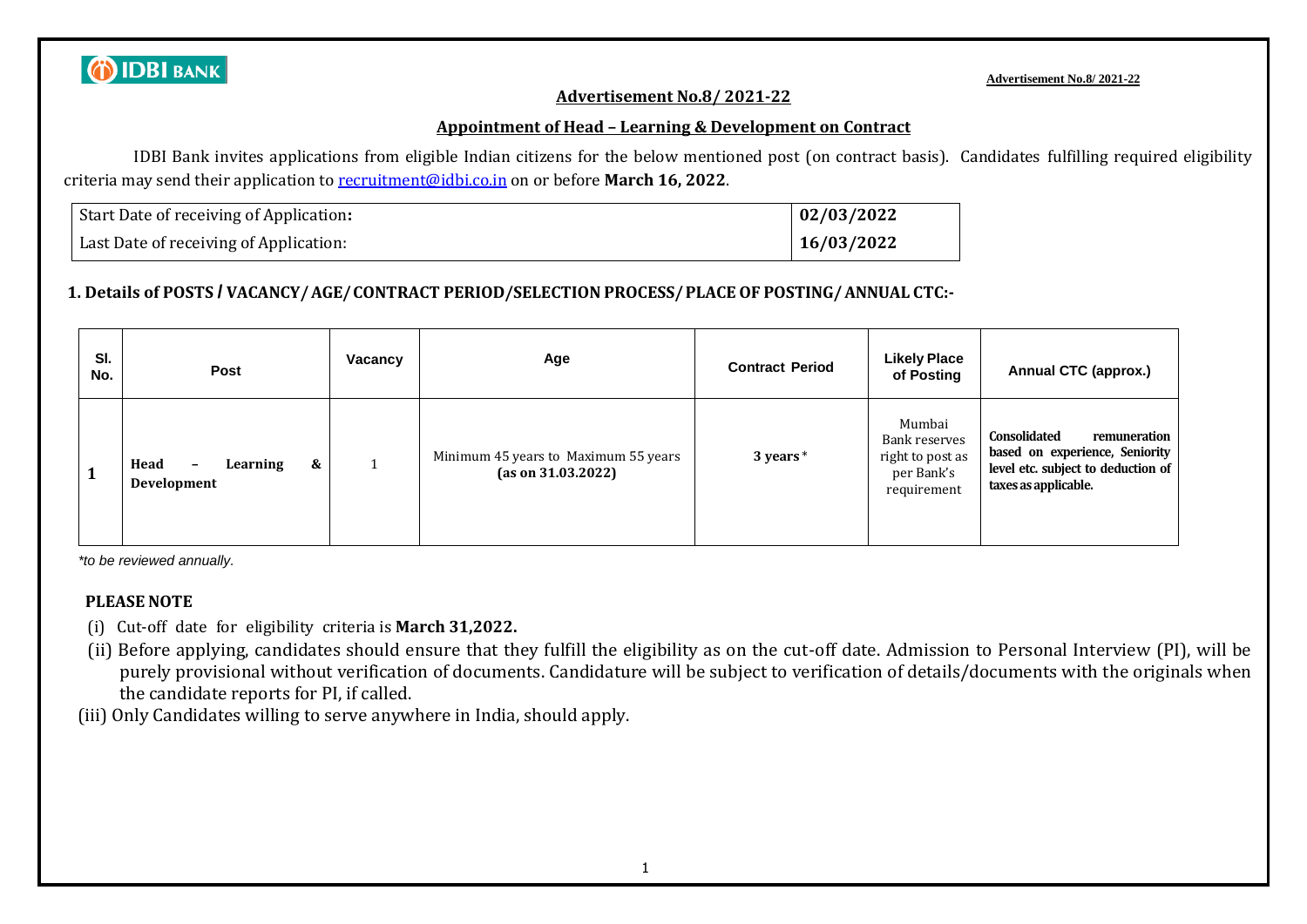# **O IDBI BANK**

#### **Advertisement No.8/ 2021-22**

#### **Advertisement No.8/ 2021-22**

#### **Appointment of Head – Learning & Development on Contract**

IDBI Bank invites applications from eligible Indian citizens for the below mentioned post (on contract basis). Candidates fulfilling required eligibility criteria may send their application to [recruitment@idbi.co.in](mailto:recruitment@idbi.co.in) on or before **March 16, 2022**.

| Start Date of receiving of Application: | $\mid 02/03/2022$ |
|-----------------------------------------|-------------------|
| Last Date of receiving of Application:  | 16/03/2022        |

### **1. Details of POSTS / VACANCY/AGE/CONTRACT PERIOD/SELECTION PROCESS/PLACE OF POSTING/ANNUAL CTC:-**

| SI.<br>No. | <b>Post</b>                                                      | Vacancv | Age                                                        | <b>Contract Period</b> | <b>Likely Place</b><br>of Posting                                        | Annual CTC (approx.)                                                                                                                |
|------------|------------------------------------------------------------------|---------|------------------------------------------------------------|------------------------|--------------------------------------------------------------------------|-------------------------------------------------------------------------------------------------------------------------------------|
|            | &<br>Head<br>Learning<br>$\overline{\phantom{a}}$<br>Development |         | Minimum 45 years to Maximum 55 years<br>(as on 31.03.2022) | 3 years $*$            | Mumbai<br>Bank reserves<br>right to post as<br>per Bank's<br>requirement | <b>Consolidated</b><br>remuneration<br>based on experience, Seniority<br>level etc. subject to deduction of<br>taxes as applicable. |

*\*to be reviewed annually.*

#### **PLEASE NOTE**

- (i) Cut-off date for eligibility criteria is **March 31,2022.**
- (ii) Before applying, candidates should ensure that they fulfill the eligibility as on the cut-off date. Admission to Personal Interview (PI), will be purely provisional without verification of documents. Candidature will be subject to verification of details/documents with the originals when the candidate reports for PI, if called.
- (iii) Only Candidates willing to serve anywhere in India, should apply.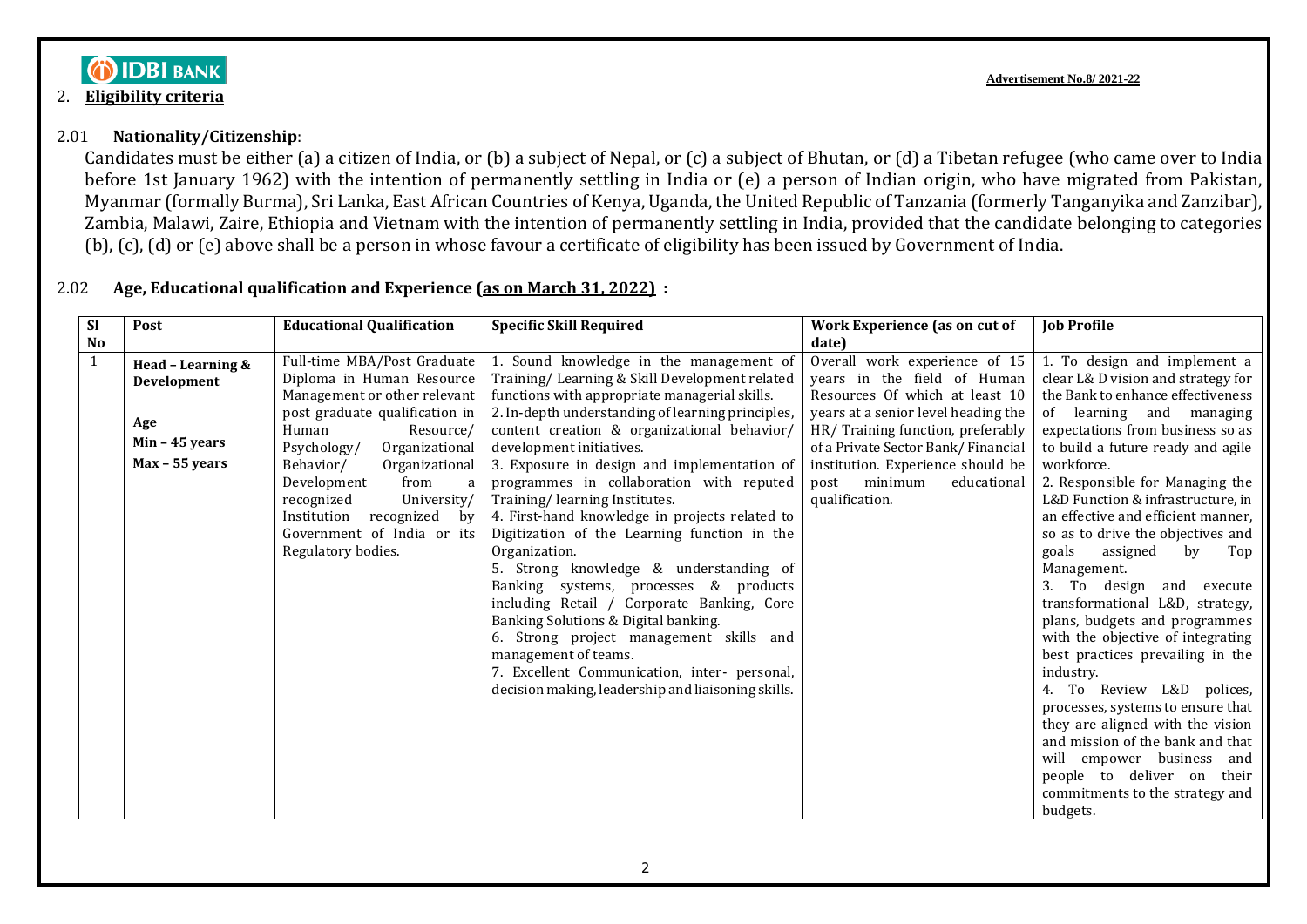## **DIDBI BANK**

#### 2. **Eligibility criteria**

#### 2.01 **Nationality/Citizenship**:

Candidates must be either (a) a citizen of India, or (b) a subject of Nepal, or (c) a subject of Bhutan, or (d) a Tibetan refugee (who came over to India before 1st January 1962) with the intention of permanently settling in India or (e) a person of Indian origin, who have migrated from Pakistan, Myanmar (formally Burma), Sri Lanka, East African Countries of Kenya, Uganda, the United Republic of Tanzania (formerly Tanganyika and Zanzibar), Zambia, Malawi, Zaire, Ethiopia and Vietnam with the intention of permanently settling in India, provided that the candidate belonging to categories (b), (c), (d) or (e) above shall be a person in whose favour a certificate of eligibility has been issued by Government of India.

### 2.02 **Age, Educational qualification and Experience (as on March 31, 2022) :**

| <b>Sl</b>      | Post                             | <b>Educational Qualification</b>                         | <b>Specific Skill Required</b>                                                                   | Work Experience (as on cut of                                           | <b>Job Profile</b>                                                   |
|----------------|----------------------------------|----------------------------------------------------------|--------------------------------------------------------------------------------------------------|-------------------------------------------------------------------------|----------------------------------------------------------------------|
| N <sub>0</sub> |                                  |                                                          |                                                                                                  | date)                                                                   |                                                                      |
| $\mathbf{1}$   | Head - Learning &<br>Development | Full-time MBA/Post Graduate<br>Diploma in Human Resource | 1. Sound knowledge in the management of<br>Training/ Learning & Skill Development related        | Overall work experience of 15<br>years in the field of Human            | 1. To design and implement a<br>clear L& D vision and strategy for   |
|                |                                  | Management or other relevant                             | functions with appropriate managerial skills.                                                    | Resources Of which at least 10                                          | the Bank to enhance effectiveness                                    |
|                | Age                              | post graduate qualification in<br>Human<br>Resource/     | 2. In-depth understanding of learning principles,<br>content creation & organizational behavior/ | years at a senior level heading the<br>HR/Training function, preferably | of learning and<br>managing<br>expectations from business so as      |
|                | Min $-45$ years                  | Organizational<br>Psychology/                            | development initiatives.                                                                         | of a Private Sector Bank/Financial                                      | to build a future ready and agile                                    |
|                | Max - 55 years                   | Behavior/<br>Organizational                              | 3. Exposure in design and implementation of                                                      | institution. Experience should be                                       | workforce.                                                           |
|                |                                  | Development<br>from<br>a<br>recognized<br>University/    | programmes in collaboration with reputed<br>Training/learning Institutes.                        | minimum<br>educational<br>post<br>qualification.                        | 2. Responsible for Managing the<br>L&D Function & infrastructure, in |
|                |                                  | Institution<br>recognized<br>bv                          | 4. First-hand knowledge in projects related to                                                   |                                                                         | an effective and efficient manner,                                   |
|                |                                  | Government of India or its                               | Digitization of the Learning function in the                                                     |                                                                         | so as to drive the objectives and                                    |
|                |                                  | Regulatory bodies.                                       | Organization.                                                                                    |                                                                         | goals<br>by<br>assigned<br>Top                                       |
|                |                                  |                                                          | 5. Strong knowledge & understanding of                                                           |                                                                         | Management.                                                          |
|                |                                  |                                                          | & products<br>Banking systems, processes                                                         |                                                                         | To design<br>and<br>execute                                          |
|                |                                  |                                                          | including Retail / Corporate Banking, Core                                                       |                                                                         | transformational L&D, strategy,                                      |
|                |                                  |                                                          | Banking Solutions & Digital banking.                                                             |                                                                         | plans, budgets and programmes                                        |
|                |                                  |                                                          | 6. Strong project management skills and                                                          |                                                                         | with the objective of integrating                                    |
|                |                                  |                                                          | management of teams.                                                                             |                                                                         | best practices prevailing in the                                     |
|                |                                  |                                                          | 7. Excellent Communication, inter- personal,                                                     |                                                                         | industry.                                                            |
|                |                                  |                                                          | decision making, leadership and liaisoning skills.                                               |                                                                         | 4. To Review L&D polices,                                            |
|                |                                  |                                                          |                                                                                                  |                                                                         | processes, systems to ensure that                                    |
|                |                                  |                                                          |                                                                                                  |                                                                         | they are aligned with the vision                                     |
|                |                                  |                                                          |                                                                                                  |                                                                         | and mission of the bank and that                                     |
|                |                                  |                                                          |                                                                                                  |                                                                         | will empower business and                                            |
|                |                                  |                                                          |                                                                                                  |                                                                         | people to deliver on their                                           |
|                |                                  |                                                          |                                                                                                  |                                                                         | commitments to the strategy and                                      |
|                |                                  |                                                          |                                                                                                  |                                                                         | budgets.                                                             |

**Advertisement No.8/ 2021-22**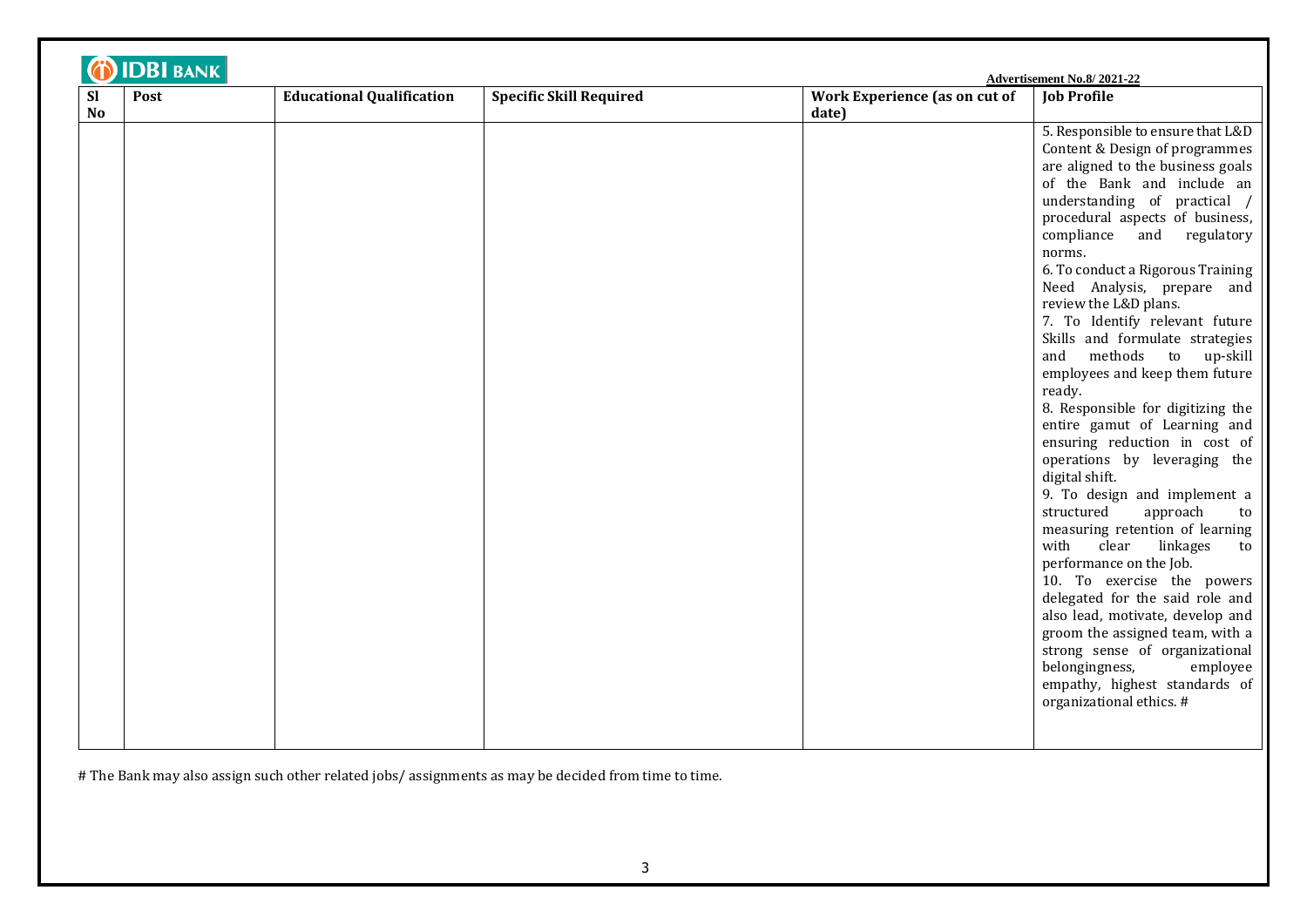| <b>Sl</b><br>Post<br><b>No</b> | <b>Educational Qualification</b> | <b>Specific Skill Required</b> | Work Experience (as on cut of<br>date) | <b>Job Profile</b>                                                                                                                                                                                                                                                                                                                                                                                                                                                                                                                                                                                                                                                                                                                                                                                                                                                                                                                                                                                                                                                                           |
|--------------------------------|----------------------------------|--------------------------------|----------------------------------------|----------------------------------------------------------------------------------------------------------------------------------------------------------------------------------------------------------------------------------------------------------------------------------------------------------------------------------------------------------------------------------------------------------------------------------------------------------------------------------------------------------------------------------------------------------------------------------------------------------------------------------------------------------------------------------------------------------------------------------------------------------------------------------------------------------------------------------------------------------------------------------------------------------------------------------------------------------------------------------------------------------------------------------------------------------------------------------------------|
|                                |                                  |                                |                                        | 5. Responsible to ensure that L&D<br>Content & Design of programmes<br>are aligned to the business goals<br>of the Bank and include an<br>understanding of practical /<br>procedural aspects of business,<br>compliance<br>and regulatory<br>norms.<br>6. To conduct a Rigorous Training<br>Need Analysis, prepare and<br>review the L&D plans.<br>7. To Identify relevant future<br>Skills and formulate strategies<br>methods to up-skill<br>and<br>employees and keep them future<br>ready.<br>8. Responsible for digitizing the<br>entire gamut of Learning and<br>ensuring reduction in cost of<br>operations by leveraging the<br>digital shift.<br>9. To design and implement a<br>structured<br>approach<br>to<br>measuring retention of learning<br>with<br>clear<br>linkages<br>to<br>performance on the Job.<br>10. To exercise the powers<br>delegated for the said role and<br>also lead, motivate, develop and<br>groom the assigned team, with a<br>strong sense of organizational<br>belongingness,<br>employee<br>empathy, highest standards of<br>organizational ethics. # |

# The Bank may also assign such other related jobs/ assignments as may be decided from time to time.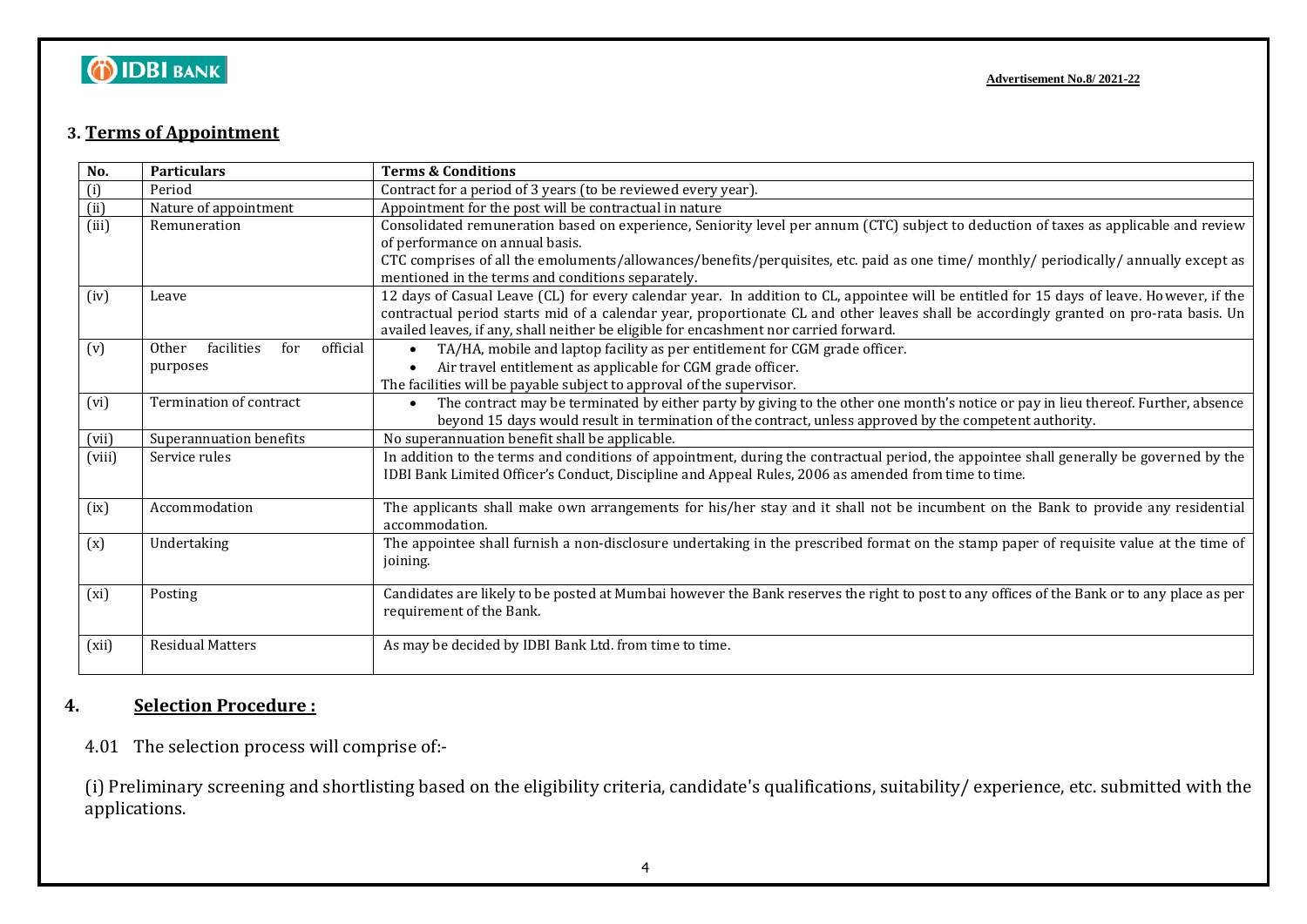# **OIDBIBANK**

### **3. Terms of Appointment**

| No.    | <b>Particulars</b>                     | <b>Terms &amp; Conditions</b>                                                                                                                                          |
|--------|----------------------------------------|------------------------------------------------------------------------------------------------------------------------------------------------------------------------|
| (i)    | Period                                 | Contract for a period of 3 years (to be reviewed every year).                                                                                                          |
| (ii)   | Nature of appointment                  | Appointment for the post will be contractual in nature                                                                                                                 |
| (iii)  | Remuneration                           | Consolidated remuneration based on experience, Seniority level per annum (CTC) subject to deduction of taxes as applicable and review                                  |
|        |                                        | of performance on annual basis.                                                                                                                                        |
|        |                                        | CTC comprises of all the emoluments/allowances/benefits/perquisites, etc. paid as one time/ monthly/ periodically/ annually except as                                  |
|        |                                        | mentioned in the terms and conditions separately.                                                                                                                      |
| (iv)   | Leave                                  | 12 days of Casual Leave (CL) for every calendar year. In addition to CL, appointee will be entitled for 15 days of leave. However, if the                              |
|        |                                        | contractual period starts mid of a calendar year, proportionate CL and other leaves shall be accordingly granted on pro-rata basis. Un                                 |
|        |                                        | availed leaves, if any, shall neither be eligible for encashment nor carried forward.                                                                                  |
| (v)    | official<br>facilities<br>for<br>Other | TA/HA, mobile and laptop facility as per entitlement for CGM grade officer.<br>$\bullet$                                                                               |
|        | purposes                               | Air travel entitlement as applicable for CGM grade officer.<br>$\bullet$                                                                                               |
|        |                                        | The facilities will be payable subject to approval of the supervisor.                                                                                                  |
| (vi)   | Termination of contract                | The contract may be terminated by either party by giving to the other one month's notice or pay in lieu thereof. Further, absence<br>$\bullet$                         |
|        |                                        | beyond 15 days would result in termination of the contract, unless approved by the competent authority.                                                                |
| (vii)  | Superannuation benefits                | No superannuation benefit shall be applicable.                                                                                                                         |
| (viii) | Service rules                          | In addition to the terms and conditions of appointment, during the contractual period, the appointee shall generally be governed by the                                |
|        |                                        | IDBI Bank Limited Officer's Conduct, Discipline and Appeal Rules, 2006 as amended from time to time.                                                                   |
|        |                                        |                                                                                                                                                                        |
| (ix)   | Accommodation                          | The applicants shall make own arrangements for his/her stay and it shall not be incumbent on the Bank to provide any residential                                       |
|        |                                        | accommodation.                                                                                                                                                         |
| (x)    | Undertaking                            | The appointee shall furnish a non-disclosure undertaking in the prescribed format on the stamp paper of requisite value at the time of                                 |
|        |                                        | joining.                                                                                                                                                               |
|        |                                        |                                                                                                                                                                        |
| (xi)   | Posting                                | Candidates are likely to be posted at Mumbai however the Bank reserves the right to post to any offices of the Bank or to any place as per<br>requirement of the Bank. |
|        |                                        |                                                                                                                                                                        |
| (xii)  | <b>Residual Matters</b>                | As may be decided by IDBI Bank Ltd. from time to time.                                                                                                                 |
|        |                                        |                                                                                                                                                                        |
|        |                                        |                                                                                                                                                                        |

### **4. Selection Procedure :**

4.01 The selection process will comprise of:-

(i) Preliminary screening and shortlisting based on the eligibility criteria, candidate's qualifications, suitability/ experience, etc. submitted with the applications.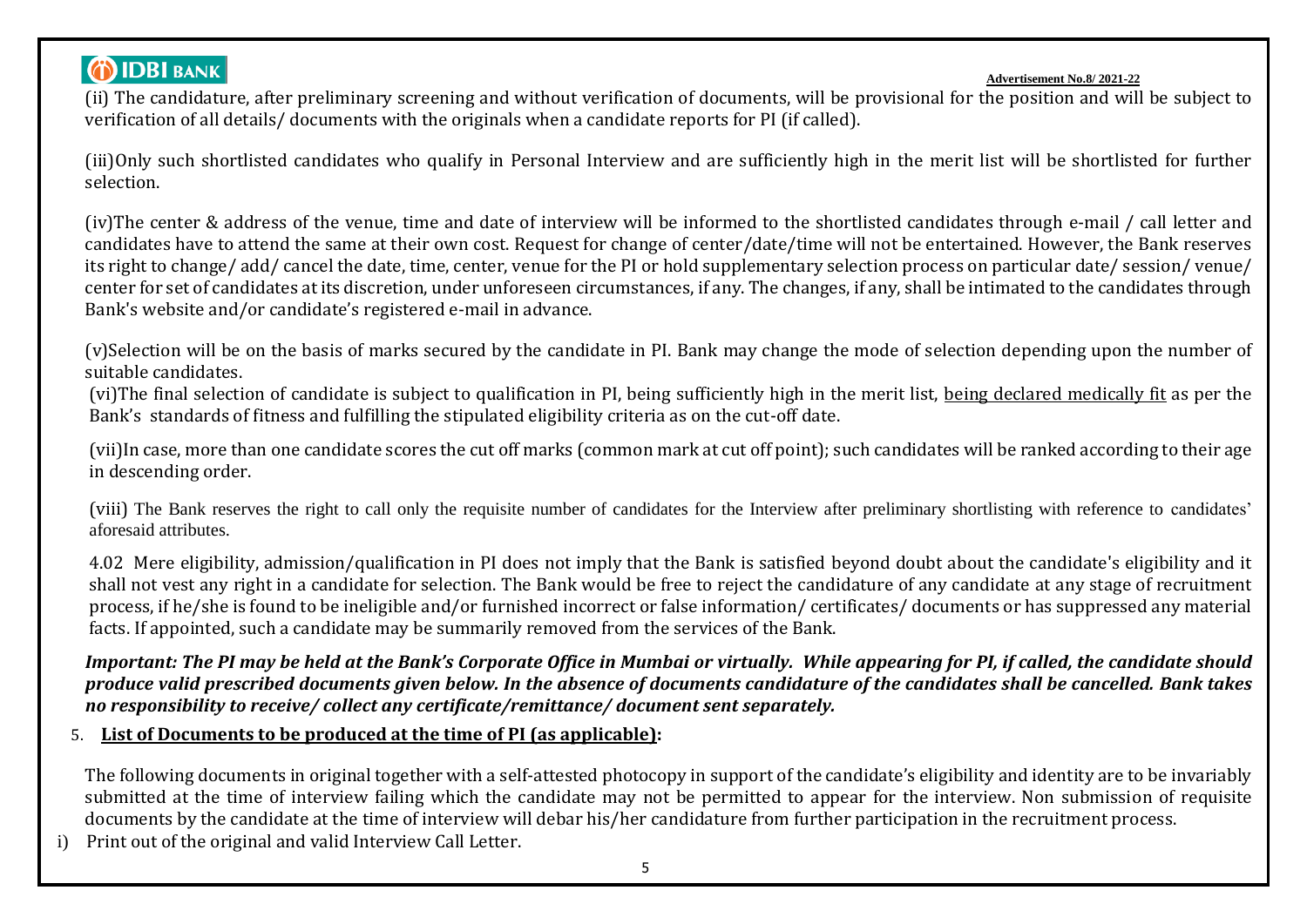## **DIDBI BANK**

#### **Advertisement No.8/ 2021-22**

(ii) The candidature, after preliminary screening and without verification of documents, will be provisional for the position and will be subject to verification of all details/ documents with the originals when a candidate reports for PI (if called).

(iii)Only such shortlisted candidates who qualify in Personal Interview and are sufficiently high in the merit list will be shortlisted for further selection.

(iv)The center & address of the venue, time and date of interview will be informed to the shortlisted candidates through e-mail / call letter and candidates have to attend the same at their own cost. Request for change of center/date/time will not be entertained. However, the Bank reserves its right to change/ add/ cancel the date, time, center, venue for the PI or hold supplementary selection process on particular date/ session/ venue/ center for set of candidates at its discretion, under unforeseen circumstances, if any. The changes, if any, shall be intimated to the candidates through Bank's website and/or candidate's registered e-mail in advance.

(v)Selection will be on the basis of marks secured by the candidate in PI. Bank may change the mode of selection depending upon the number of suitable candidates.

(vi)The final selection of candidate is subject to qualification in PI, being sufficiently high in the merit list, being declared medically fit as per the Bank's standards of fitness and fulfilling the stipulated eligibility criteria as on the cut-off date.

(vii)In case, more than one candidate scores the cut off marks (common mark at cut off point); such candidates will be ranked according to their age in descending order.

(viii) The Bank reserves the right to call only the requisite number of candidates for the Interview after preliminary shortlisting with reference to candidates' aforesaid attributes.

4.02 Mere eligibility, admission/qualification in PI does not imply that the Bank is satisfied beyond doubt about the candidate's eligibility and it shall not vest any right in a candidate for selection. The Bank would be free to reject the candidature of any candidate at any stage of recruitment process, if he/she is found to be ineligible and/or furnished incorrect or false information/ certificates/ documents or has suppressed any material facts. If appointed, such a candidate may be summarily removed from the services of the Bank.

*Important: The PI may be held at the Bank's Corporate Office in Mumbai or virtually. While appearing for PI, if called, the candidate should produce valid prescribed documents given below. In the absence of documents candidature of the candidates shall be cancelled. Bank takes no responsibility to receive/ collect any certificate/remittance/ document sent separately.*

5. **List of Documents to be produced at the time of PI (as applicable):**

The following documents in original together with a self-attested photocopy in support of the candidate's eligibility and identity are to be invariably submitted at the time of interview failing which the candidate may not be permitted to appear for the interview. Non submission of requisite documents by the candidate at the time of interview will debar his/her candidature from further participation in the recruitment process.

i) Print out of the original and valid Interview Call Letter.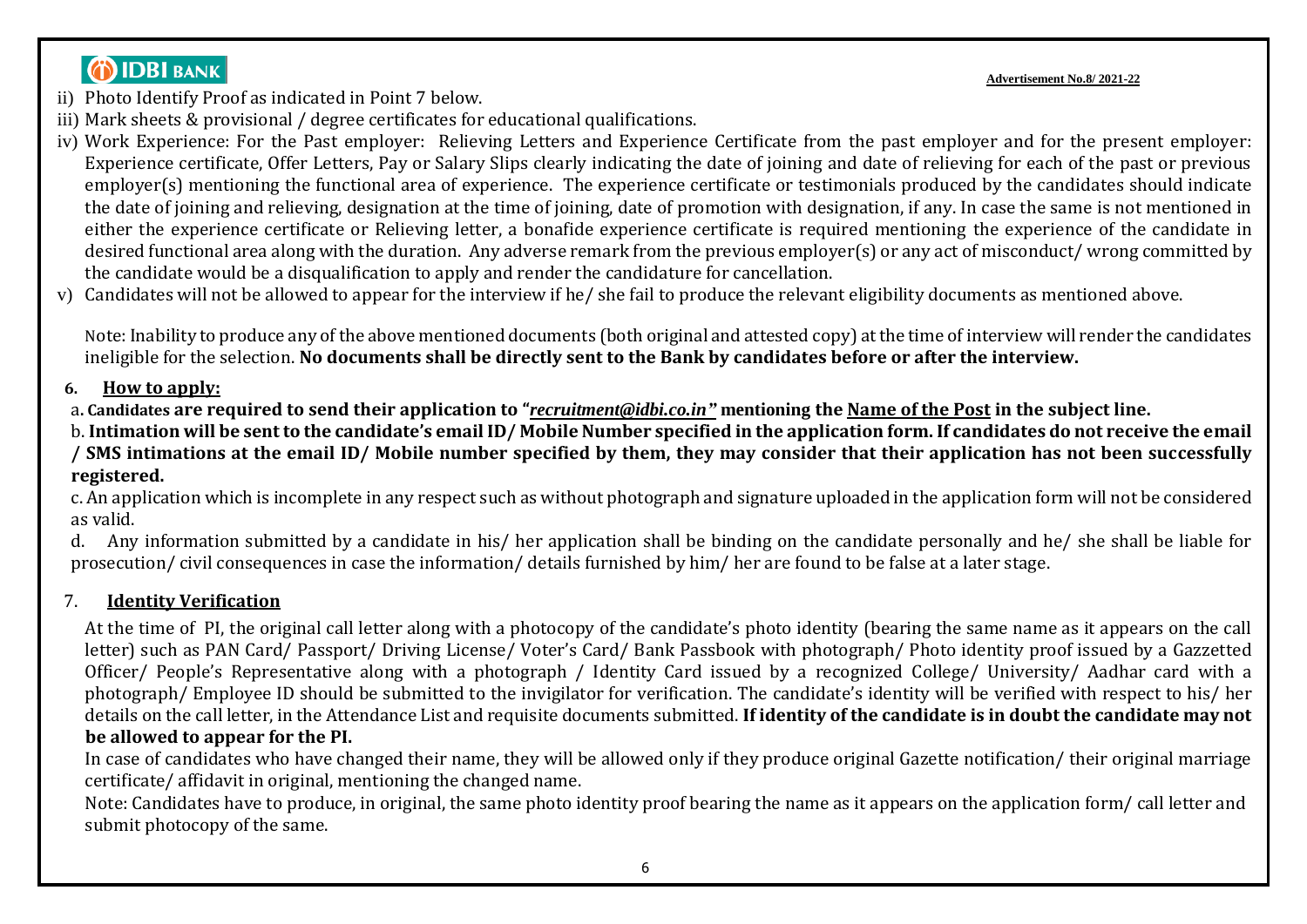## **DIDBI BANK**

**Advertisement No.8/ 2021-22**

- ii) Photo Identify Proof as indicated in Point 7 below.
- iii) Mark sheets & provisional / degree certificates for educational qualifications.
- iv) Work Experience: For the Past employer: Relieving Letters and Experience Certificate from the past employer and for the present employer: Experience certificate, Offer Letters, Pay or Salary Slips clearly indicating the date of joining and date of relieving for each of the past or previous employer(s) mentioning the functional area of experience. The experience certificate or testimonials produced by the candidates should indicate the date of joining and relieving, designation at the time of joining, date of promotion with designation, if any. In case the same is not mentioned in either the experience certificate or Relieving letter, a bonafide experience certificate is required mentioning the experience of the candidate in desired functional area along with the duration. Any adverse remark from the previous employer(s) or any act of misconduct/ wrong committed by the candidate would be a disqualification to apply and render the candidature for cancellation.
- v) Candidates will not be allowed to appear for the interview if he/ she fail to produce the relevant eligibility documents as mentioned above.

Note: Inability to produce any of the above mentioned documents (both original and attested copy) at the time of interview will render the candidates ineligible for the selection. **No documents shall be directly sent to the Bank by candidates before or after the interview.**

### **6. How to apply:**

a**. Candidates are required to send their application to "***[recruitment@idbi.co.in"](mailto:recruitment@idbi.co.in)* **mentioning the Name of the Post in the subject line.** 

b. **Intimation will be sent to the candidate's email ID/ Mobile Number specified in the application form. If candidates do not receive the email / SMS intimations at the email ID/ Mobile number specified by them, they may consider that their application has not been successfully registered.**

c. An application which is incomplete in any respect such as without photograph and signature uploaded in the application form will not be considered as valid.

d. Any information submitted by a candidate in his/ her application shall be binding on the candidate personally and he/ she shall be liable for prosecution/ civil consequences in case the information/ details furnished by him/ her are found to be false at a later stage.

## 7. **Identity Verification**

At the time of PI, the original call letter along with a photocopy of the candidate's photo identity (bearing the same name as it appears on the call letter) such as PAN Card/ Passport/ Driving License/ Voter's Card/ Bank Passbook with photograph/ Photo identity proof issued by a Gazzetted Officer/ People's Representative along with a photograph / Identity Card issued by a recognized College/ University/ Aadhar card with a photograph/ Employee ID should be submitted to the invigilator for verification. The candidate's identity will be verified with respect to his/ her details on the call letter, in the Attendance List and requisite documents submitted. **If identity of the candidate is in doubt the candidate may not be allowed to appear for the PI.** 

In case of candidates who have changed their name, they will be allowed only if they produce original Gazette notification/ their original marriage certificate/ affidavit in original, mentioning the changed name.

Note: Candidates have to produce, in original, the same photo identity proof bearing the name as it appears on the application form/ call letter and submit photocopy of the same.